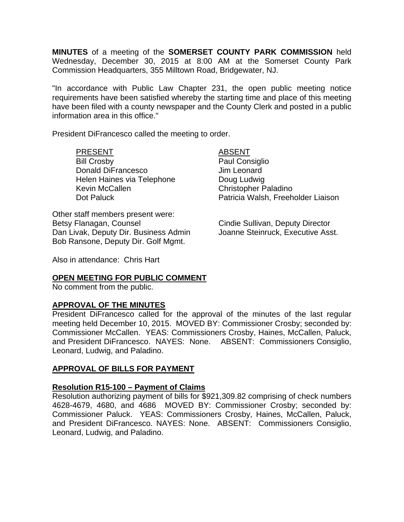**MINUTES** of a meeting of the **SOMERSET COUNTY PARK COMMISSION** held Wednesday, December 30, 2015 at 8:00 AM at the Somerset County Park Commission Headquarters, 355 Milltown Road, Bridgewater, NJ.

"In accordance with Public Law Chapter 231, the open public meeting notice requirements have been satisfied whereby the starting time and place of this meeting have been filed with a county newspaper and the County Clerk and posted in a public information area in this office."

President DiFrancesco called the meeting to order.

## PRESENT ABSENT

Bill Crosby **Paul Consiglio** Donald DiFrancesco Jim Leonard Helen Haines via Telephone **Doug Ludwig** Kevin McCallen Christopher Paladino

Other staff members present were: Betsy Flanagan, Counsel **Counsel Cindie Sullivan, Deputy Director** Dan Livak, Deputy Dir. Business Admin Joanne Steinruck, Executive Asst. Bob Ransone, Deputy Dir. Golf Mgmt.

Dot Paluck **Patricia Walsh, Freeholder Liaison** 

Also in attendance: Chris Hart

## **OPEN MEETING FOR PUBLIC COMMENT**

No comment from the public.

# **APPROVAL OF THE MINUTES**

President DiFrancesco called for the approval of the minutes of the last regular meeting held December 10, 2015. MOVED BY: Commissioner Crosby; seconded by: Commissioner McCallen. YEAS: Commissioners Crosby, Haines, McCallen, Paluck, and President DiFrancesco. NAYES: None. ABSENT: Commissioners Consiglio, Leonard, Ludwig, and Paladino.

## **APPROVAL OF BILLS FOR PAYMENT**

## **Resolution R15-100 – Payment of Claims**

Resolution authorizing payment of bills for \$921,309.82 comprising of check numbers 4628-4679, 4680, and 4686 MOVED BY: Commissioner Crosby; seconded by: Commissioner Paluck. YEAS: Commissioners Crosby, Haines, McCallen, Paluck, and President DiFrancesco. NAYES: None. ABSENT: Commissioners Consiglio, Leonard, Ludwig, and Paladino.